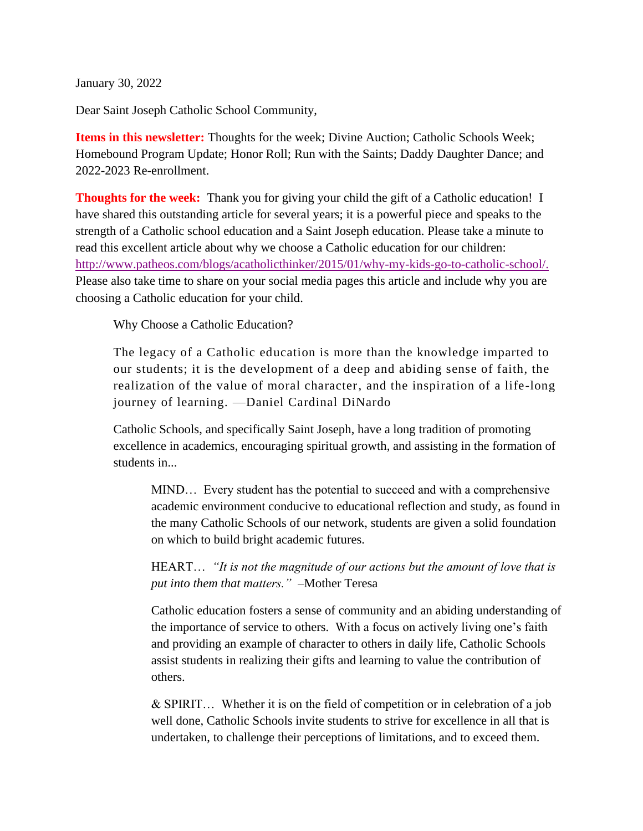January 30, 2022

Dear Saint Joseph Catholic School Community,

**Items in this newsletter:** Thoughts for the week; Divine Auction; Catholic Schools Week; Homebound Program Update; Honor Roll; Run with the Saints; Daddy Daughter Dance; and 2022-2023 Re-enrollment.

**Thoughts for the week:** Thank you for giving your child the gift of a Catholic education! I have shared this outstanding article for several years; it is a powerful piece and speaks to the strength of a Catholic school education and a Saint Joseph education. Please take a minute to read this excellent article about why we choose a Catholic education for our children: [http://www.patheos.com/blogs/acatholicthinker/2015/01/why-my-kids-go-to-catholic-school/.](http://www.patheos.com/blogs/acatholicthinker/2015/01/why-my-kids-go-to-catholic-school/)  Please also take time to share on your social media pages this article and include why you are choosing a Catholic education for your child.

Why Choose a Catholic Education?

The legacy of a Catholic education is more than the knowledge imparted to our students; it is the development of a deep and abiding sense of faith, the realization of the value of moral character, and the inspiration of a life-long journey of learning. —Daniel Cardinal DiNardo

Catholic Schools, and specifically Saint Joseph, have a long tradition of promoting excellence in academics, encouraging spiritual growth, and assisting in the formation of students in...

MIND… Every student has the potential to succeed and with a comprehensive academic environment conducive to educational reflection and study, as found in the many Catholic Schools of our network, students are given a solid foundation on which to build bright academic futures.

HEART… *"It is not the magnitude of our actions but the amount of love that is put into them that matters."* –Mother Teresa

Catholic education fosters a sense of community and an abiding understanding of the importance of service to others. With a focus on actively living one's faith and providing an example of character to others in daily life, Catholic Schools assist students in realizing their gifts and learning to value the contribution of others.

& SPIRIT… Whether it is on the field of competition or in celebration of a job well done, Catholic Schools invite students to strive for excellence in all that is undertaken, to challenge their perceptions of limitations, and to exceed them.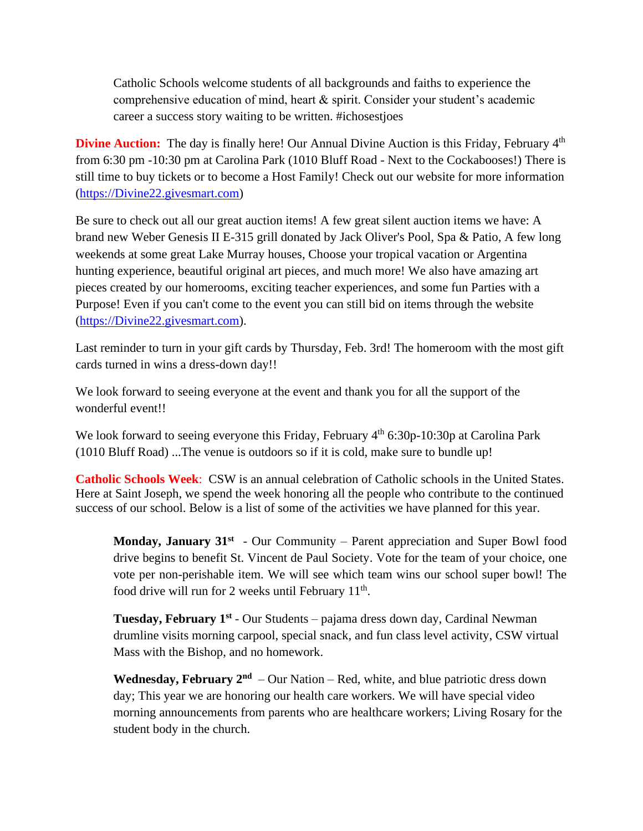Catholic Schools welcome students of all backgrounds and faiths to experience the comprehensive education of mind, heart & spirit. Consider your student's academic career a success story waiting to be written. #ichosestjoes

**Divine Auction:** The day is finally here! Our Annual Divine Auction is this Friday, February 4<sup>th</sup> from 6:30 pm -10:30 pm at Carolina Park (1010 Bluff Road - Next to the Cockabooses!) There is still time to buy tickets or to become a Host Family! Check out our website for more information [\(https://Divine22.givesmart.com\)](https://divine22.givesmart.com/)

Be sure to check out all our great auction items! A few great silent auction items we have: A brand new Weber Genesis II E-315 grill donated by Jack Oliver's Pool, Spa & Patio, A few long weekends at some great Lake Murray houses, Choose your tropical vacation or Argentina hunting experience, beautiful original art pieces, and much more! We also have amazing art pieces created by our homerooms, exciting teacher experiences, and some fun Parties with a Purpose! Even if you can't come to the event you can still bid on items through the website [\(https://Divine22.givesmart.com\)](https://divine22.givesmart.com/).

Last reminder to turn in your gift cards by Thursday, Feb. 3rd! The homeroom with the most gift cards turned in wins a dress-down day!!

We look forward to seeing everyone at the event and thank you for all the support of the wonderful event!!

We look forward to seeing everyone this Friday, February  $4<sup>th</sup>$  6:30p-10:30p at Carolina Park (1010 Bluff Road) ...The venue is outdoors so if it is cold, make sure to bundle up!

**Catholic Schools Week**: CSW is an annual celebration of Catholic schools in the United States. Here at Saint Joseph, we spend the week honoring all the people who contribute to the continued success of our school. Below is a list of some of the activities we have planned for this year.

**Monday, January 31<sup>st</sup>** - Our Community – Parent appreciation and Super Bowl food drive begins to benefit St. Vincent de Paul Society. Vote for the team of your choice, one vote per non-perishable item. We will see which team wins our school super bowl! The food drive will run for 2 weeks until February 11<sup>th</sup>.

**Tuesday, February 1st** - Our Students – pajama dress down day, Cardinal Newman drumline visits morning carpool, special snack, and fun class level activity, CSW virtual Mass with the Bishop, and no homework.

Wednesday, February  $2^{nd}$  – Our Nation – Red, white, and blue patriotic dress down day; This year we are honoring our health care workers. We will have special video morning announcements from parents who are healthcare workers; Living Rosary for the student body in the church.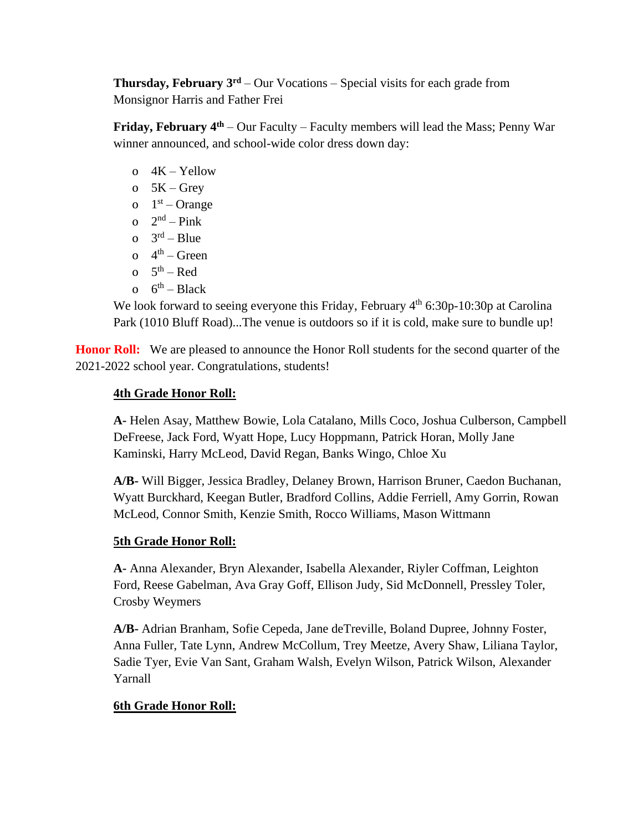**Thursday, February 3rd** – Our Vocations – Special visits for each grade from Monsignor Harris and Father Frei

**Friday, February 4th** – Our Faculty – Faculty members will lead the Mass; Penny War winner announced, and school-wide color dress down day:

- o 4K Yellow
- o  $5K Grey$
- o  $1<sup>st</sup>$  Orange
- o  $2<sup>nd</sup> Pink$
- o  $3^{\text{rd}} \text{Blue}$
- o  $4<sup>th</sup>$  Green
- o  $5<sup>th</sup> Red$
- o  $6^{th}$  Black

We look forward to seeing everyone this Friday, February 4<sup>th</sup> 6:30p-10:30p at Carolina Park (1010 Bluff Road)...The venue is outdoors so if it is cold, make sure to bundle up!

**Honor Roll:** We are pleased to announce the Honor Roll students for the second quarter of the 2021-2022 school year. Congratulations, students!

## **4th Grade Honor Roll:**

**A-** Helen Asay, Matthew Bowie, Lola Catalano, Mills Coco, Joshua Culberson, Campbell DeFreese, Jack Ford, Wyatt Hope, Lucy Hoppmann, Patrick Horan, Molly Jane Kaminski, Harry McLeod, David Regan, Banks Wingo, Chloe Xu

**A/B-** Will Bigger, Jessica Bradley, Delaney Brown, Harrison Bruner, Caedon Buchanan, Wyatt Burckhard, Keegan Butler, Bradford Collins, Addie Ferriell, Amy Gorrin, Rowan McLeod, Connor Smith, Kenzie Smith, Rocco Williams, Mason Wittmann

## **5th Grade Honor Roll:**

**A-** Anna Alexander, Bryn Alexander, Isabella Alexander, Riyler Coffman, Leighton Ford, Reese Gabelman, Ava Gray Goff, Ellison Judy, Sid McDonnell, Pressley Toler, Crosby Weymers

**A/B-** Adrian Branham, Sofie Cepeda, Jane deTreville, Boland Dupree, Johnny Foster, Anna Fuller, Tate Lynn, Andrew McCollum, Trey Meetze, Avery Shaw, Liliana Taylor, Sadie Tyer, Evie Van Sant, Graham Walsh, Evelyn Wilson, Patrick Wilson, Alexander Yarnall

## **6th Grade Honor Roll:**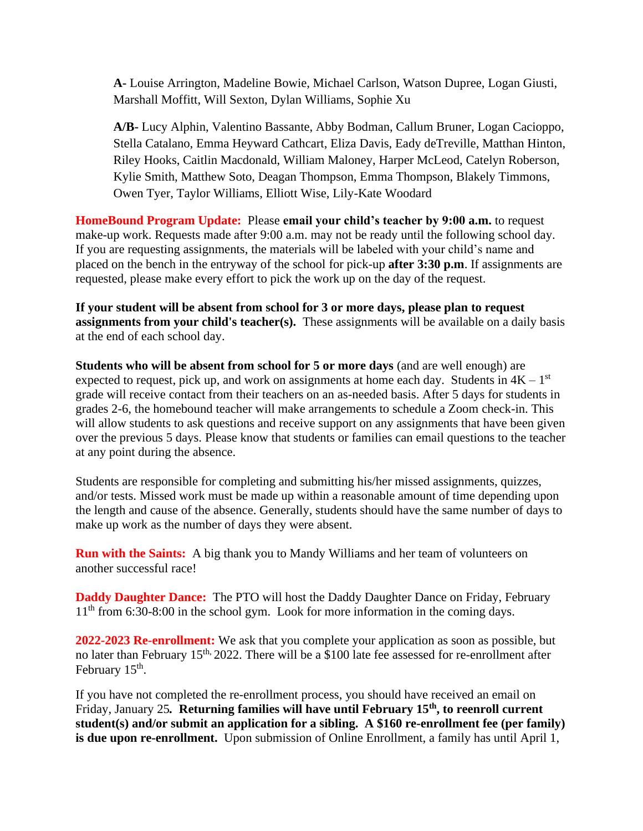**A-** Louise Arrington, Madeline Bowie, Michael Carlson, Watson Dupree, Logan Giusti, Marshall Moffitt, Will Sexton, Dylan Williams, Sophie Xu

**A/B-** Lucy Alphin, Valentino Bassante, Abby Bodman, Callum Bruner, Logan Cacioppo, Stella Catalano, Emma Heyward Cathcart, Eliza Davis, Eady deTreville, Matthan Hinton, Riley Hooks, Caitlin Macdonald, William Maloney, Harper McLeod, Catelyn Roberson, Kylie Smith, Matthew Soto, Deagan Thompson, Emma Thompson, Blakely Timmons, Owen Tyer, Taylor Williams, Elliott Wise, Lily-Kate Woodard

**HomeBound Program Update:** Please **email your child's teacher by 9:00 a.m.** to request make-up work. Requests made after 9:00 a.m. may not be ready until the following school day. If you are requesting assignments, the materials will be labeled with your child's name and placed on the bench in the entryway of the school for pick-up **after 3:30 p.m**. If assignments are requested, please make every effort to pick the work up on the day of the request.

**If your student will be absent from school for 3 or more days, please plan to request assignments from your child's teacher(s).** These assignments will be available on a daily basis at the end of each school day.

**Students who will be absent from school for 5 or more days** (and are well enough) are expected to request, pick up, and work on assignments at home each day. Students in  $4K - 1<sup>st</sup>$ grade will receive contact from their teachers on an as-needed basis. After 5 days for students in grades 2-6, the homebound teacher will make arrangements to schedule a Zoom check-in. This will allow students to ask questions and receive support on any assignments that have been given over the previous 5 days. Please know that students or families can email questions to the teacher at any point during the absence.

Students are responsible for completing and submitting his/her missed assignments, quizzes, and/or tests. Missed work must be made up within a reasonable amount of time depending upon the length and cause of the absence. Generally, students should have the same number of days to make up work as the number of days they were absent.

**Run with the Saints:** A big thank you to Mandy Williams and her team of volunteers on another successful race!

**Daddy Daughter Dance:** The PTO will host the Daddy Daughter Dance on Friday, February  $11<sup>th</sup>$  from 6:30-8:00 in the school gym. Look for more information in the coming days.

**2022-2023 Re-enrollment:** We ask that you complete your application as soon as possible, but no later than February  $15<sup>th</sup>$ , 2022. There will be a \$100 late fee assessed for re-enrollment after February 15<sup>th</sup>.

If you have not completed the re-enrollment process, you should have received an email on Friday, January 25*.* **Returning families will have until February 15th, to reenroll current student(s) and/or submit an application for a sibling. A \$160 re-enrollment fee (per family) is due upon re-enrollment.** Upon submission of Online Enrollment, a family has until April 1,